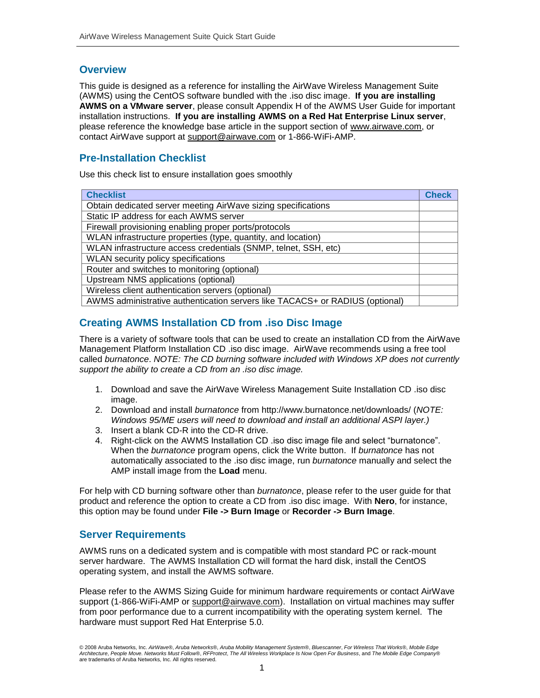## **Overview**

This guide is designed as a reference for installing the AirWave Wireless Management Suite (AWMS) using the CentOS software bundled with the .iso disc image. **If you are installing AWMS on a VMware server**, please consult Appendix H of the AWMS User Guide for important installation instructions. **If you are installing AWMS on a Red Hat Enterprise Linux server**, please reference the knowledge base article in the support section of [www.airwave.com,](http://www.airwave.com/) or contact AirWave support at [support@airwave.com](mailto:support@airwave.com) or 1-866-WiFi-AMP.

# **Pre-Installation Checklist**

Use this check list to ensure installation goes smoothly

| <b>Checklist</b>                                                             | <b>Check</b> |
|------------------------------------------------------------------------------|--------------|
| Obtain dedicated server meeting AirWave sizing specifications                |              |
| Static IP address for each AWMS server                                       |              |
| Firewall provisioning enabling proper ports/protocols                        |              |
| WLAN infrastructure properties (type, quantity, and location)                |              |
| WLAN infrastructure access credentials (SNMP, telnet, SSH, etc)              |              |
| WLAN security policy specifications                                          |              |
| Router and switches to monitoring (optional)                                 |              |
| Upstream NMS applications (optional)                                         |              |
| Wireless client authentication servers (optional)                            |              |
| AWMS administrative authentication servers like TACACS+ or RADIUS (optional) |              |

# **Creating AWMS Installation CD from .iso Disc Image**

There is a variety of software tools that can be used to create an installation CD from the AirWave Management Platform Installation CD .iso disc image. AirWave recommends using a free tool called *burnatonce*. *NOTE: The CD burning software included with Windows XP does not currently support the ability to create a CD from an .iso disc image.*

- 1. Download and save the AirWave Wireless Management Suite Installation CD .iso disc image.
- 2. Download and install *burnatonce* from http://www.burnatonce.net/downloads/ (*NOTE: Windows 95/ME users will need to download and install an additional ASPI layer.)*
- 3. Insert a blank CD-R into the CD-R drive.
- 4. Right-click on the AWMS Installation CD .iso disc image file and select "burnatonce". When the *burnatonce* program opens, click the Write button. If *burnatonce* has not automatically associated to the .iso disc image, run *burnatonce* manually and select the AMP install image from the **Load** menu.

For help with CD burning software other than *burnatonce*, please refer to the user guide for that product and reference the option to create a CD from .iso disc image. With **Nero**, for instance, this option may be found under **File -> Burn Image** or **Recorder -> Burn Image**.

## **Server Requirements**

AWMS runs on a dedicated system and is compatible with most standard PC or rack-mount server hardware. The AWMS Installation CD will format the hard disk, install the CentOS operating system, and install the AWMS software.

Please refer to the AWMS Sizing Guide for minimum hardware requirements or contact AirWave support (1-866-WiFi-AMP or [support@airwave.com\)](mailto:support@airwave.com). Installation on virtual machines may suffer from poor performance due to a current incompatibility with the operating system kernel. The hardware must support Red Hat Enterprise 5.0.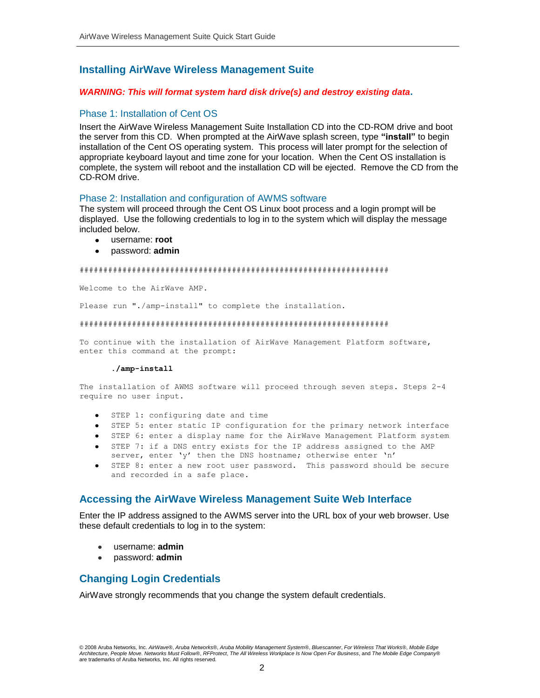# **Installing AirWave Wireless Management Suite**

### *WARNING: This will format system hard disk drive(s) and destroy existing data***.**

### Phase 1: Installation of Cent OS

Insert the AirWave Wireless Management Suite Installation CD into the CD-ROM drive and boot the server from this CD. When prompted at the AirWave splash screen, type **"install"** to begin installation of the Cent OS operating system. This process will later prompt for the selection of appropriate keyboard layout and time zone for your location. When the Cent OS installation is complete, the system will reboot and the installation CD will be ejected. Remove the CD from the CD-ROM drive.

### Phase 2: Installation and configuration of AWMS software

The system will proceed through the Cent OS Linux boot process and a login prompt will be displayed. Use the following credentials to log in to the system which will display the message included below.

- username: **root**
- password: **admin**

#### #################################################################

Welcome to the AirWave AMP.

Please run "./amp-install" to complete the installation.

#### #################################################################

To continue with the installation of AirWave Management Platform software, enter this command at the prompt:

#### **./amp-install**

The installation of AWMS software will proceed through seven steps. Steps 2-4 require no user input.

- STEP 1: configuring date and time
- STEP 5: enter static IP configuration for the primary network interface
- STEP 6: enter a display name for the AirWave Management Platform system
- STEP 7: if a DNS entry exists for the IP address assigned to the AMP server, enter 'y' then the DNS hostname; otherwise enter 'n'
- STEP 8: enter a new root user password. This password should be secure and recorded in a safe place.

### **Accessing the AirWave Wireless Management Suite Web Interface**

Enter the IP address assigned to the AWMS server into the URL box of your web browser. Use these default credentials to log in to the system:

- username: **admin**
- password: **admin**

### **Changing Login Credentials**

AirWave strongly recommends that you change the system default credentials.